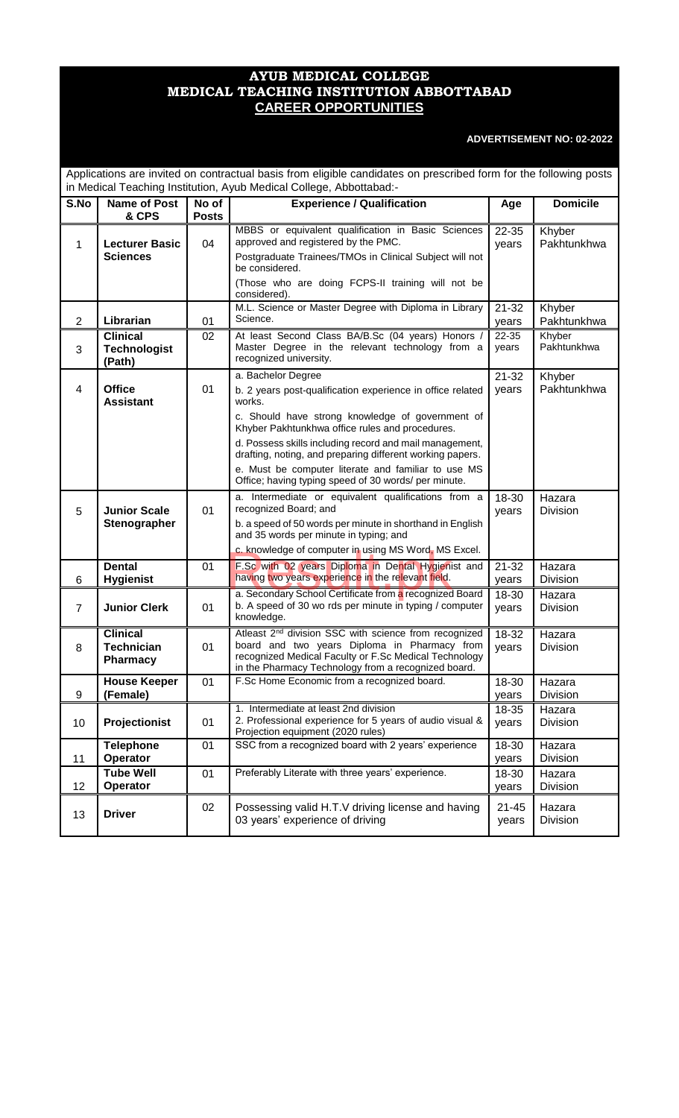# **AYUB MEDICAL COLLEGE MEDICAL TEACHING INSTITUTION ABBOTTABAD CAREER OPPORTUNITIES**

# **ADVERTISEMENT NO: 02-2022**

| Applications are invited on contractual basis from eligible candidates on prescribed form for the following posts<br>in Medical Teaching Institution, Ayub Medical College, Abbottabad:- |                                                  |                       |                                                                                                                                                                                                                                             |                    |                           |
|------------------------------------------------------------------------------------------------------------------------------------------------------------------------------------------|--------------------------------------------------|-----------------------|---------------------------------------------------------------------------------------------------------------------------------------------------------------------------------------------------------------------------------------------|--------------------|---------------------------|
| S.No                                                                                                                                                                                     | <b>Name of Post</b><br>& CPS                     | No of<br><b>Posts</b> | <b>Experience / Qualification</b>                                                                                                                                                                                                           | Age                | <b>Domicile</b>           |
| 1                                                                                                                                                                                        | <b>Lecturer Basic</b><br><b>Sciences</b>         | 04                    | MBBS or equivalent qualification in Basic Sciences<br>approved and registered by the PMC.<br>Postgraduate Trainees/TMOs in Clinical Subject will not<br>be considered.<br>(Those who are doing FCPS-II training will not be<br>considered). | 22-35<br>years     | Khyber<br>Pakhtunkhwa     |
| $\overline{2}$                                                                                                                                                                           | Librarian                                        | 01                    | M.L. Science or Master Degree with Diploma in Library<br>Science.                                                                                                                                                                           | $21 - 32$<br>years | Khyber<br>Pakhtunkhwa     |
| 3                                                                                                                                                                                        | <b>Clinical</b><br><b>Technologist</b><br>(Path) | 02                    | At least Second Class BA/B.Sc (04 years) Honors /<br>Master Degree in the relevant technology from a<br>recognized university.                                                                                                              | 22-35<br>years     | Khyber<br>Pakhtunkhwa     |
| 4                                                                                                                                                                                        | <b>Office</b><br><b>Assistant</b>                | 01                    | a. Bachelor Degree<br>b. 2 years post-qualification experience in office related<br>works.<br>c. Should have strong knowledge of government of<br>Khyber Pakhtunkhwa office rules and procedures.                                           | $21 - 32$<br>years | Khyber<br>Pakhtunkhwa     |
|                                                                                                                                                                                          |                                                  |                       | d. Possess skills including record and mail management,<br>drafting, noting, and preparing different working papers.<br>e. Must be computer literate and familiar to use MS<br>Office; having typing speed of 30 words/ per minute.         |                    |                           |
| 5                                                                                                                                                                                        | <b>Junior Scale</b><br>Stenographer              | 01                    | a. Intermediate or equivalent qualifications from a<br>recognized Board; and<br>b. a speed of 50 words per minute in shorthand in English<br>and 35 words per minute in typing; and<br>c. knowledge of computer in using MS Word, MS Excel. | 18-30<br>years     | Hazara<br>Division        |
| 6                                                                                                                                                                                        | <b>Dental</b><br><b>Hygienist</b>                | 01                    | F.Sc with 02 years Diploma in Dental Hygienist and<br>having two years experience in the relevant field.                                                                                                                                    | $21 - 32$<br>years | Hazara<br><b>Division</b> |
| $\overline{7}$                                                                                                                                                                           | <b>Junior Clerk</b>                              | 01                    | a. Secondary School Certificate from a recognized Board<br>b. A speed of 30 wo rds per minute in typing / computer<br>knowledge.                                                                                                            | 18-30<br>years     | Hazara<br>Division        |
| 8                                                                                                                                                                                        | <b>Clinical</b><br><b>Technician</b><br>Pharmacy | 01                    | Atleast 2 <sup>nd</sup> division SSC with science from recognized<br>board and two years Diploma in Pharmacy from<br>recognized Medical Faculty or F.Sc Medical Technology<br>in the Pharmacy Technology from a recognized board.           | 18-32<br>years     | Hazara<br><b>Division</b> |
| 9                                                                                                                                                                                        | <b>House Keeper</b><br>(Female)                  | 01                    | F.Sc Home Economic from a recognized board.                                                                                                                                                                                                 | 18-30<br>years     | Hazara<br>Division        |
| 10                                                                                                                                                                                       | Projectionist                                    | 01                    | 1. Intermediate at least 2nd division<br>2. Professional experience for 5 years of audio visual &<br>Projection equipment (2020 rules)                                                                                                      | 18-35<br>years     | Hazara<br>Division        |
| 11                                                                                                                                                                                       | <b>Telephone</b><br>Operator                     | 01                    | SSC from a recognized board with 2 years' experience                                                                                                                                                                                        | 18-30<br>years     | Hazara<br>Division        |
| 12                                                                                                                                                                                       | Tube Well<br>Operator                            | 01                    | Preferably Literate with three years' experience.                                                                                                                                                                                           | 18-30<br>years     | Hazara<br>Division        |
| 13                                                                                                                                                                                       | <b>Driver</b>                                    | 02                    | Possessing valid H.T.V driving license and having<br>03 years' experience of driving                                                                                                                                                        | $21 - 45$<br>years | Hazara<br>Division        |